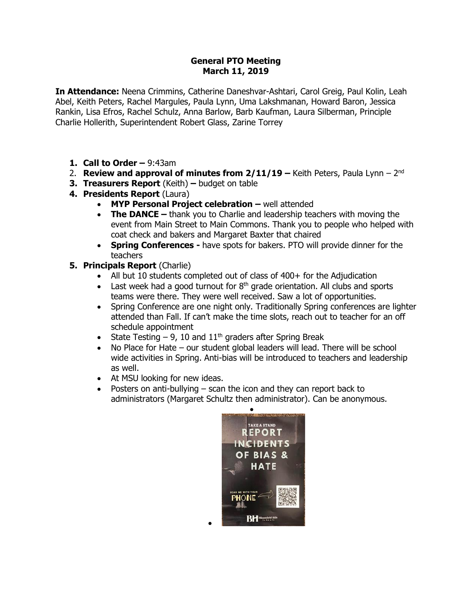### **General PTO Meeting March 11, 2019**

**In Attendance:** Neena Crimmins, Catherine Daneshvar-Ashtari, Carol Greig, Paul Kolin, Leah Abel, Keith Peters, Rachel Margules, Paula Lynn, Uma Lakshmanan, Howard Baron, Jessica Rankin, Lisa Efros, Rachel Schulz, Anna Barlow, Barb Kaufman, Laura Silberman, Principle Charlie Hollerith, Superintendent Robert Glass, Zarine Torrey

- **1. Call to Order –** 9:43am
- 2. **Review and approval of minutes from 2/11/19 –** Keith Peters, Paula Lynn 2<sup>nd</sup>
- **3. Treasurers Report** (Keith) **–** budget on table
- **4. Presidents Report** (Laura)
	- **MYP Personal Project celebration -** well attended
	- **The DANCE** thank you to Charlie and leadership teachers with moving the event from Main Street to Main Commons. Thank you to people who helped with coat check and bakers and Margaret Baxter that chaired
	- **Spring Conferences -** have spots for bakers. PTO will provide dinner for the teachers
- **5. Principals Report** (Charlie)
	- All but 10 students completed out of class of 400+ for the Adjudication
	- East week had a good turnout for  $8<sup>th</sup>$  grade orientation. All clubs and sports teams were there. They were well received. Saw a lot of opportunities.
	- Spring Conference are one night only. Traditionally Spring conferences are lighter attended than Fall. If can't make the time slots, reach out to teacher for an off schedule appointment
	- State Testing  $-9$ , 10 and  $11<sup>th</sup>$  graders after Spring Break

 $\bullet$ 

- No Place for Hate our student global leaders will lead. There will be school wide activities in Spring. Anti-bias will be introduced to teachers and leadership as well.
- At MSU looking for new ideas.
- Posters on anti-bullying scan the icon and they can report back to administrators (Margaret Schultz then administrator). Can be anonymous.

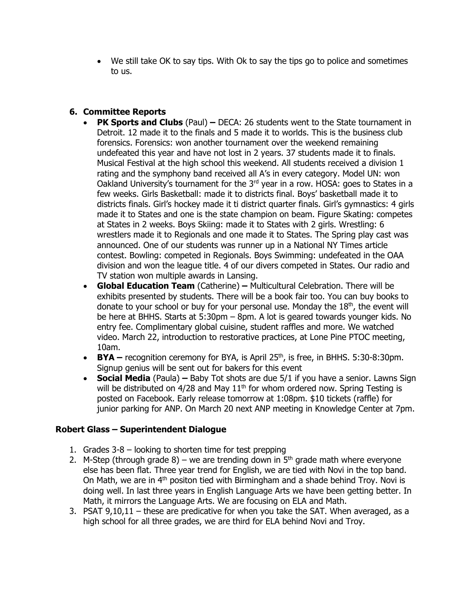We still take OK to say tips. With Ok to say the tips go to police and sometimes to us.

# **6. Committee Reports**

- **PK Sports and Clubs** (Paul) **–** DECA: 26 students went to the State tournament in Detroit. 12 made it to the finals and 5 made it to worlds. This is the business club forensics. Forensics: won another tournament over the weekend remaining undefeated this year and have not lost in 2 years. 37 students made it to finals. Musical Festival at the high school this weekend. All students received a division 1 rating and the symphony band received all A's in every category. Model UN: won Oakland University's tournament for the  $3<sup>rd</sup>$  year in a row. HOSA: goes to States in a few weeks. Girls Basketball: made it to districts final. Boys' basketball made it to districts finals. Girl's hockey made it ti district quarter finals. Girl's gymnastics: 4 girls made it to States and one is the state champion on beam. Figure Skating: competes at States in 2 weeks. Boys Skiing: made it to States with 2 girls. Wrestling: 6 wrestlers made it to Regionals and one made it to States. The Spring play cast was announced. One of our students was runner up in a National NY Times article contest. Bowling: competed in Regionals. Boys Swimming: undefeated in the OAA division and won the league title. 4 of our divers competed in States. Our radio and TV station won multiple awards in Lansing.
- **Global Education Team** (Catherine) **–** Multicultural Celebration. There will be exhibits presented by students. There will be a book fair too. You can buy books to donate to your school or buy for your personal use. Monday the  $18<sup>th</sup>$ , the event will be here at BHHS. Starts at 5:30pm – 8pm. A lot is geared towards younger kids. No entry fee. Complimentary global cuisine, student raffles and more. We watched video. March 22, introduction to restorative practices, at Lone Pine PTOC meeting, 10am.
- **BYA** recognition ceremony for BYA, is April 25<sup>th</sup>, is free, in BHHS. 5:30-8:30pm. Signup genius will be sent out for bakers for this event
- **Social Media** (Paula) **–** Baby Tot shots are due 5/1 if you have a senior. Lawns Sign will be distributed on  $4/28$  and May  $11<sup>th</sup>$  for whom ordered now. Spring Testing is posted on Facebook. Early release tomorrow at 1:08pm. \$10 tickets (raffle) for junior parking for ANP. On March 20 next ANP meeting in Knowledge Center at 7pm.

## **Robert Glass – Superintendent Dialogue**

- 1. Grades 3-8 looking to shorten time for test prepping
- 2. M-Step (through grade 8) we are trending down in  $5<sup>th</sup>$  grade math where everyone else has been flat. Three year trend for English, we are tied with Novi in the top band. On Math, we are in  $4<sup>th</sup>$  positon tied with Birmingham and a shade behind Troy. Novi is doing well. In last three years in English Language Arts we have been getting better. In Math, it mirrors the Language Arts. We are focusing on ELA and Math.
- 3. PSAT 9,10,11 these are predicative for when you take the SAT. When averaged, as a high school for all three grades, we are third for ELA behind Novi and Troy.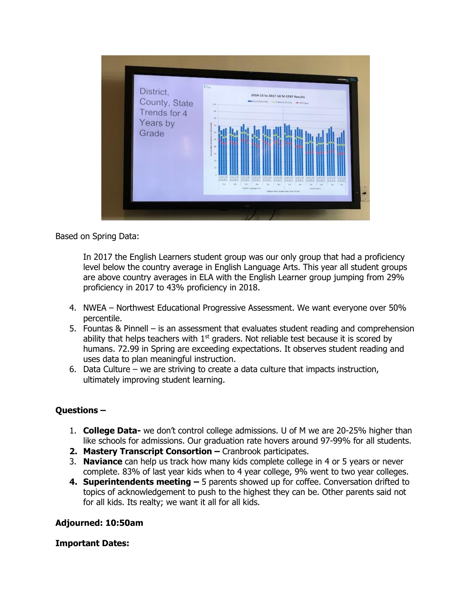

Based on Spring Data:

In 2017 the English Learners student group was our only group that had a proficiency level below the country average in English Language Arts. This year all student groups are above country averages in ELA with the English Learner group jumping from 29% proficiency in 2017 to 43% proficiency in 2018.

- 4. NWEA Northwest Educational Progressive Assessment. We want everyone over 50% percentile.
- 5. Fountas & Pinnell is an assessment that evaluates student reading and comprehension ability that helps teachers with  $1<sup>st</sup>$  graders. Not reliable test because it is scored by humans. 72.99 in Spring are exceeding expectations. It observes student reading and uses data to plan meaningful instruction.
- 6. Data Culture we are striving to create a data culture that impacts instruction, ultimately improving student learning.

## **Questions –**

- 1. **College Data-** we don't control college admissions. U of M we are 20-25% higher than like schools for admissions. Our graduation rate hovers around 97-99% for all students.
- **2. Mastery Transcript Consortion –** Cranbrook participates.
- 3. **Naviance** can help us track how many kids complete college in 4 or 5 years or never complete. 83% of last year kids when to 4 year college, 9% went to two year colleges.
- **4. Superintendents meeting –** 5 parents showed up for coffee. Conversation drifted to topics of acknowledgement to push to the highest they can be. Other parents said not for all kids. Its realty; we want it all for all kids.

## **Adjourned: 10:50am**

## **Important Dates:**